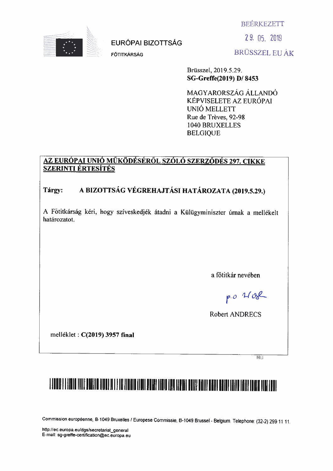**BEÉRKEZETT** 



**EURÓPALBIZOTTSÁG** 

FŐTITKÁRSÁG

29.05.2019 **BRÜSSZEL EU ÁK** 

Brüsszel, 2019.5.29. SG-Greffe(2019) D/8453

MAGYARORSZÁG ÁLLANDÓ KÉPVISELETE AZ EURÓPAI UNIÓ MELLETT Rue de Trèves, 92-98 1040 BRUXELLES **BELGIOUE** 

#### <u>AZ EURÓPAI UNIÓ MŰKÖDÉSÉRŐL SZÓLÓ SZERZŐDÉS 297. CIKKE</u> **SZERINTI ÉRTESÍTÉS**

#### A BIZOTTSÁG VÉGREHAJTÁSI HATÁROZATA (2019.5.29.) Tárgy:

A Fötitkárság kéri, hogy szíveskedjék átadni a Külügyminiszter úrnak a mellékelt határozatot.

a főtitkár nevében

po Hose

Robert ANDRECS

melléklet : C(2019) 3957 final

 $\overline{H}$ 

# I TOON TI TAALA TINIT DEETA TIDOT IN TI TIR TAALA TIDII DUUR TITII TOO TAALT BANT BANT BANT BAAR TAHT TANT TIDI

Commission européenne, B-1049 Bruxelles / Europese Commissie, B-1049 Brussel - Belgium, Telephone: (32-2) 299 11 11.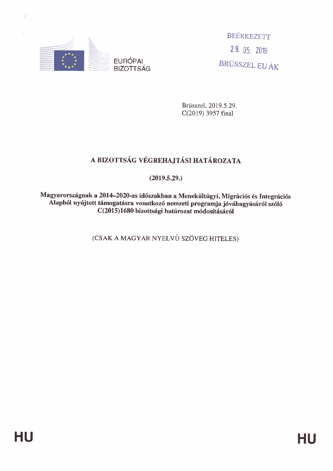

**EURÓPAI BIZOTTSÁG** 

BEÉRKEZETT 29.05.2019 BRÜSSZEL EU ÁK

Brüsszel, 2019.5.29. C(2019) 3957 final

## A BIZOTTSÁG VÉGREHAJTÁSI HATÁROZATA

 $(2019.5.29.)$ 

Magyarországnak a 2014–2020-as időszakban a Menekültügyi, Migrációs és Integrációs Alapból nyújtott támogatásra vonatkozó nemzeti programja jóváhagyásáról szóló C(2015)1680 bizottsági határozat módosításáról

(CSAK A MAGYAR NYELVŰ SZÖVEG HITELES)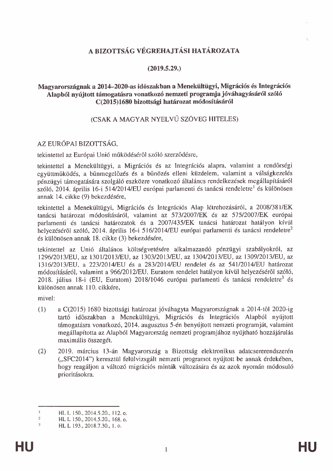#### A BIZOTTSÁG VÉGREHAJTÁSI HATÁROZATA

#### $(2019.5.29.)$

#### Magyarországnak a 2014–2020-as időszakban a Menekültügyi, Migrációs és Integrációs Alapból nyújtott támogatásra vonatkozó nemzeti programja jóváhagyásáról szóló C(2015)1680 bizottsági határozat módosításáról

#### (CSAK A MAGYAR NYELVŰ SZÖVEG HITELES)

#### AZ EURÓPAI BIZOTTSÁG.

tekintettel az Európai Unió működéséről szóló szerződésre,

tekintettel a Menekültügyi, a Migrációs és az Integrációs alapra, valamint a rendőrségi együttműködés, a bűnmegelőzés és a bűnözés elleni küzdelem, valamint a válságkezelés pénzügyi támogatására szolgáló eszközre vonatkozó általános rendelkezések megállapításáról szóló, 2014. április 16-i 514/2014/EU európai parlamenti és tanácsi rendeletre<sup>1</sup> és különösen annak 14. cikke (9) bekezdésére,

tekintettel a Menekültügyi, Migrációs és Integrációs Alap létrehozásáról, a 2008/381/EK tanácsi határozat módosításáról, valamint az 573/2007/EK és az 575/2007/EK európai parlamenti és tanácsi határozatok és a 2007/435/EK tanácsi határozat hatályon kívül helyezéséről szóló, 2014. április 16-i 516/2014/EU európai parlamenti és tanácsi rendeletre<sup>2</sup> és különösen annak 18. cikke (3) bekezdésére,

tekintettel az Unió általános költségvetésére alkalmazandó pénzügyi szabályokról, az 1296/2013/EU, az 1301/2013/EU, az 1303/2013/EU, az 1304/2013/EU, az 1309/2013/EU, az 1316/2013/EU, a 223/2014/EU és a 283/2014/EU rendelet és az 541/2014/EU határozat módosításáról, valamint a 966/2012/EU, Euratom rendelet hatályon kívül helyezéséről szóló, 2018. július 18-i (EU, Euratom) 2018/1046 európai parlamenti és tanácsi rendeletre<sup>3</sup> és különösen annak 110. cikkére.

mivel:

- a C(2015) 1680 bizottsági határozat jóváhagyta Magyarországnak a 2014-től 2020-ig  $(1)$ tartó időszakban a Menekültügyi, Migrációs és Integrációs Alapból nyújtott támogatásra vonatkozó, 2014. augusztus 5-én benyújtott nemzeti programját, valamint megállapította az Alapból Magyarország nemzeti programjához nyújtható hozzájárulás maximális összegét.
- $(2)$ 2019. március 13-án Magyarország a Bizottság elektronikus adatcsererendszerén ("SFC2014") keresztül felülvizsgált nemzeti programot nyújtott be annak érdekében, hogy reagáljon a változó migrációs minták változására és az azok nyomán módosuló prioritásokra.

 $\mathbf{1}$ HL L 150., 2014.5.20., 112. o.

 $\overline{2}$ HL L 150., 2014.5.20., 168. o.

<sup>3</sup> HL L 193., 2018.7.30., 1. o.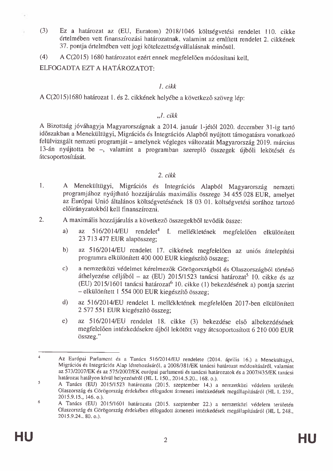- $(3)$ Ez a határozat az (EU, Euratom) 2018/1046 költségyetési rendelet 110. cikke értelmében vett finanszírozási határozatnak, valamint az említett rendelet 2. cikkének 37. pontja értelmében vett jogi kötelezettségvállalásnak minősül.
- A C(2015) 1680 határozatot ezért ennek megfelelően módosítani kell,  $(4)$

ELFOGADTA EZT A HATÁROZATOT:

#### 1. cikk

A C(2015)1680 határozat 1. és 2. cikkének helyébe a következő szöveg lép:

#### $\Box L$  cikk

A Bizottság jóváhagyja Magyarországnak a 2014. január 1-jétől 2020. december 31-ig tartó időszakban a Menekültügyi, Migrációs és Integrációs Alapból nyújtott támogatásra vonatkozó felülvizsgált nemzeti programját - amelynek végleges változatát Magyarország 2019. március 13-án nyújtotta be -, valamint a programban szereplő összegek újbóli lekötését és átcsoportosítását.

#### $2. cikk$

- $\mathbf{1}$ . A Menekültügyi, Migrációs és Integrációs Alapból Magyarország nemzeti programjához nyújtható hozzájárulás maximális összege 34 455 028 EUR, amelyet az Európai Unió általános költségvetésének 18 03 01. költségvetési sorához tartozó előirányzatokból kell finanszírozni.
- $\overline{2}$ . A maximális hozzájárulás a következő összegekből tevődik össze:
	- az 516/2014/EU rendelet<sup>4</sup> I. mellékletének megfelelően elkülönített a) 23 713 477 EUR alapösszeg;
	- $b)$ az 516/2014/EU rendelet 17. cikkének megfelelően az uniós áttelepítési programra elkülönített 400 000 EUR kiegészítő összeg:
	- $\mathbf{c}$ a nemzetközi védelmet kérelmezők Görögországból és Olaszországból történő áthelyezése céljából – az (EU) 2015/1523 tanácsi határozat<sup>5</sup> 10. cikke és az (EU) 2015/1601 tanácsi határozat<sup>6</sup> 10. cikke (1) bekezdésének a) pontja szerint - elkülönített 1 554 000 EUR kiegészítő összeg:
	- az 516/2014/EU rendelet I. mellékletének megfelelően 2017-ben elkülönített  $\mathbf{d}$ 2 577 551 EUR kiegészítő összeg:
	- $e)$ az 516/2014/EU rendelet 18. cikke (3) bekezdése első albekezdésének megfelelően intézkedésekre újból lekötött vagy átcsoportosított 6 210 000 EUR összeg."

Az Európai Parlament és a Tanács 516/2014/EU rendelete (2014. április 16.) a Menekültügyi, Migrációs és Integrációs Alap létrehozásáról, a 2008/381/EK tanácsi határozat módosításáról, valamint az 573/2007/EK és az 575/2007/EK európai parlamenti és tanácsi határozatok és a 2007/435/EK tanácsi határozat hatályon kívül helyezéséről (HL L 150., 2014.5.20., 168. o.).

 $\overline{\mathbf{5}}$ A Tanács (EU) 2015/1523 határozata (2015. szeptember 14.) a nemzetközi védelem területén Olaszország és Görögország érdekében elfogadott átmeneti intézkedések megállapításáról (HL L 239., 2015.9.15., 146. o.).

<sup>6</sup> A Tanács (EU) 2015/1601 határozata (2015. szeptember 22.) a nemzetközi védelem területén Olaszország és Görögország érdekében elfogadott átmeneti intézkedések megállapításáról (HL L 248., 2015.9.24., 80. o.).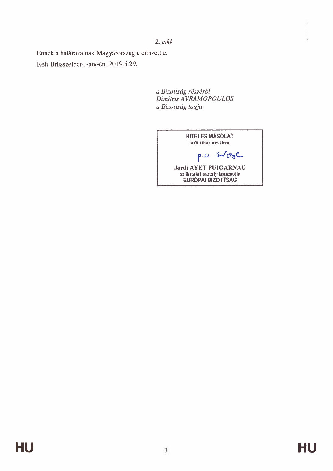$2. cikk$ 

Ennek a határozatnak Magyarország a címzettje. Kelt Brüsszelben, -án/-én. 2019.5.29.

> a Bizottság részéről Dimitris AVRAMOPOULOS a Bizottság tagja

> > **HITELES MÁSOLAT** a főtitkár nevében po store Jordi AYET PUIGARNAU<br>az iktatási osztály igazgatója<br>EURÓPAI BIZOTTSÁG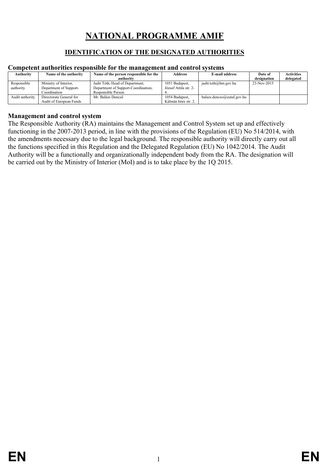# **NATIONAL PROGRAMME AMIF**

#### **IDENTIFICATION OF THE DESIGNATED AUTHORITIES**

#### <span id="page-6-2"></span><span id="page-6-0"></span>**Competent authorities responsible for the management and control systems**

| Authority       | Name of the authority   | Name of the person responsible for the | <b>Address</b>        | E-mail address             | Date of     | <b>Activities</b> |
|-----------------|-------------------------|----------------------------------------|-----------------------|----------------------------|-------------|-------------------|
|                 |                         | authority                              |                       |                            | designation | delegated         |
| Responsible     | Ministry of Interior,   | Judit Tóth, Head of Department,        | 1051 Budapest,        | judit.toth@bm.gov.hu       | 23-Nov-2015 |                   |
| authority       | Department of Support-  | Department of Support-Coordination;    | József Attila str. 2- |                            |             |                   |
|                 | Coordination            | Responsible Person                     |                       |                            |             |                   |
| Audit authority | Directorate General for | Mr. Balázs Dencső                      | 1054 Budapest,        | balazs.dencso@eutaf.gov.hu |             |                   |
|                 | Audit of European Funds |                                        | Kálmán Imre str. 2.   |                            |             |                   |

#### <span id="page-6-1"></span>**Management and control system**

The Responsible Authority (RA) maintains the Management and Control System set up and effectively functioning in the 2007-2013 period, in line with the provisions of the Regulation (EU) No 514/2014, with the amendments necessary due to the legal background. The responsible authority will directly carry out all the functions specified in this Regulation and the Delegated Regulation (EU) No 1042/2014. The Audit Authority will be a functionally and organizationally independent body from the RA. The designation will be carried out by the Ministry of Interior (MoI) and is to take place by the 1Q 2015.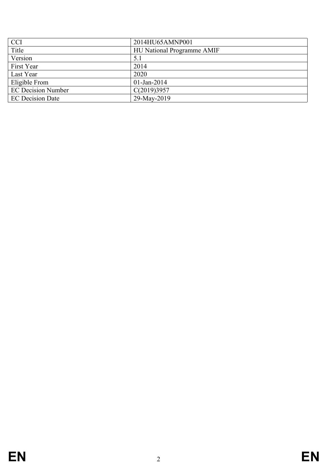| <b>CCI</b>                | 2014HU65AMNP001                   |
|---------------------------|-----------------------------------|
| Title                     | <b>HU National Programme AMIF</b> |
| Version                   | 5.1                               |
| First Year                | 2014                              |
| Last Year                 | 2020                              |
| Eligible From             | $01$ -Jan-2014                    |
| <b>EC Decision Number</b> | C(2019)3957                       |
| <b>EC Decision Date</b>   | 29-May-2019                       |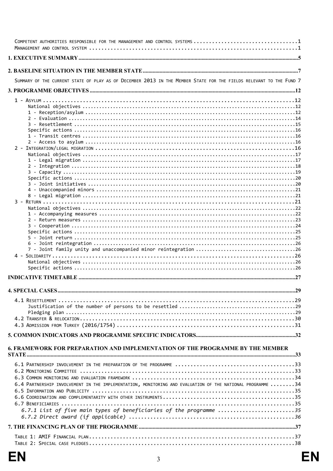| COMPETENT AUTHORITIES RESPONSIBLE FOR THE MANAGEMENT AND CONTROL SYSTEMS 1                                         |
|--------------------------------------------------------------------------------------------------------------------|
|                                                                                                                    |
|                                                                                                                    |
| SUMMARY OF THE CURRENT STATE OF PLAY AS OF DECEMBER 2013 IN THE MEMBER STATE FOR THE FIELDS RELEVANT TO THE FUND 7 |
|                                                                                                                    |
|                                                                                                                    |
|                                                                                                                    |
|                                                                                                                    |
|                                                                                                                    |
|                                                                                                                    |
|                                                                                                                    |
|                                                                                                                    |
|                                                                                                                    |
|                                                                                                                    |
|                                                                                                                    |
|                                                                                                                    |
|                                                                                                                    |
|                                                                                                                    |
|                                                                                                                    |
|                                                                                                                    |
|                                                                                                                    |
|                                                                                                                    |
|                                                                                                                    |
|                                                                                                                    |
|                                                                                                                    |
|                                                                                                                    |
|                                                                                                                    |
|                                                                                                                    |
|                                                                                                                    |
|                                                                                                                    |
|                                                                                                                    |
|                                                                                                                    |
|                                                                                                                    |
|                                                                                                                    |
|                                                                                                                    |
|                                                                                                                    |
|                                                                                                                    |
|                                                                                                                    |
|                                                                                                                    |
|                                                                                                                    |
|                                                                                                                    |
| 6. FRAMEWORK FOR PREPARATION AND IMPLEMENTATION OF THE PROGRAMME BY THE MEMBER                                     |
|                                                                                                                    |
|                                                                                                                    |
|                                                                                                                    |
|                                                                                                                    |
|                                                                                                                    |
| 6.4 PARTNERSHIP INVOLVEMENT IN THE IMPLEMENTATION, MONITORING AND EVALUATION OF THE NATIONAL PROGRAMME 34          |
|                                                                                                                    |
|                                                                                                                    |
|                                                                                                                    |
| 6.7.1 List of five main types of beneficiaries of the programme 35                                                 |
|                                                                                                                    |
|                                                                                                                    |
|                                                                                                                    |
|                                                                                                                    |
|                                                                                                                    |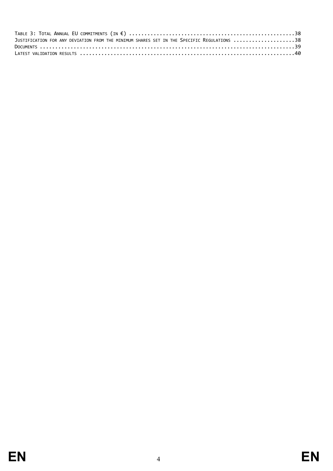| JUSTIFICATION FOR ANY DEVIATION FROM THE MINIMUM SHARES SET IN THE SPECIFIC REGULATIONS 38 |  |
|--------------------------------------------------------------------------------------------|--|
|                                                                                            |  |
|                                                                                            |  |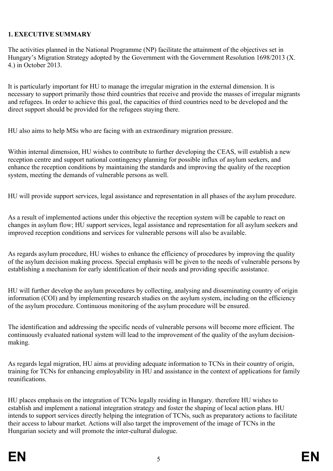#### <span id="page-10-0"></span>**1. EXECUTIVE SUMMARY**

The activities planned in the National Programme (NP) facilitate the attainment of the objectives set in Hungary's Migration Strategy adopted by the Government with the Government Resolution 1698/2013 (X. 4.) in October 2013.

It is particularly important for HU to manage the irregular migration in the external dimension. It is necessary to support primarily those third countries that receive and provide the masses of irregular migrants and refugees. In order to achieve this goal, the capacities of third countries need to be developed and the direct support should be provided for the refugees staying there.

HU also aims to help MSs who are facing with an extraordinary migration pressure.

Within internal dimension, HU wishes to contribute to further developing the CEAS, will establish a new reception centre and support national contingency planning for possible influx of asylum seekers, and enhance the reception conditions by maintaining the standards and improving the quality of the reception system, meeting the demands of vulnerable persons as well.

HU will provide support services, legal assistance and representation in all phases of the asylum procedure.

As a result of implemented actions under this objective the reception system will be capable to react on changes in asylum flow; HU support services, legal assistance and representation for all asylum seekers and improved reception conditions and services for vulnerable persons will also be available.

As regards asylum procedure, HU wishes to enhance the efficiency of procedures by improving the quality of the asylum decision making process. Special emphasis will be given to the needs of vulnerable persons by establishing a mechanism for early identification of their needs and providing specific assistance.

HU will further develop the asylum procedures by collecting, analysing and disseminating country of origin information (COI) and by implementing research studies on the asylum system, including on the efficiency of the asylum procedure. Continuous monitoring of the asylum procedure will be ensured.

The identification and addressing the specific needs of vulnerable persons will become more efficient. The continuously evaluated national system will lead to the improvement of the quality of the asylum decisionmaking.

As regards legal migration, HU aims at providing adequate information to TCNs in their country of origin, training for TCNs for enhancing employability in HU and assistance in the context of applications for family reunifications.

HU places emphasis on the integration of TCNs legally residing in Hungary. therefore HU wishes to establish and implement a national integration strategy and foster the shaping of local action plans. HU intends to support services directly helping the integration of TCNs, such as preparatory actions to facilitate their access to labour market. Actions will also target the improvement of the image of TCNs in the Hungarian society and will promote the inter-cultural dialogue.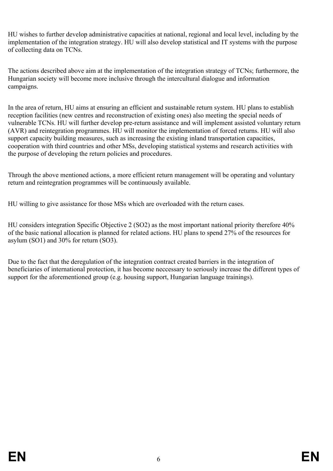HU wishes to further develop administrative capacities at national, regional and local level, including by the implementation of the integration strategy. HU will also develop statistical and IT systems with the purpose of collecting data on TCNs.

The actions described above aim at the implementation of the integration strategy of TCNs; furthermore, the Hungarian society will become more inclusive through the intercultural dialogue and information campaigns.

In the area of return, HU aims at ensuring an efficient and sustainable return system. HU plans to establish reception facilities (new centres and reconstruction of existing ones) also meeting the special needs of vulnerable TCNs. HU will further develop pre-return assistance and will implement assisted voluntary return (AVR) and reintegration programmes. HU will monitor the implementation of forced returns. HU will also support capacity building measures, such as increasing the existing inland transportation capacities, cooperation with third countries and other MSs, developing statistical systems and research activities with the purpose of developing the return policies and procedures.

Through the above mentioned actions, a more efficient return management will be operating and voluntary return and reintegration programmes will be continuously available.

HU willing to give assistance for those MSs which are overloaded with the return cases.

HU considers integration Specific Objective 2 (SO2) as the most important national priority therefore 40% of the basic national allocation is planned for related actions. HU plans to spend 27% of the resources for asylum (SO1) and 30% for return (SO3).

Due to the fact that the deregulation of the integration contract created barriers in the integration of beneficiaries of international protection, it has become neccessary to seriously increase the different types of support for the aforementioned group (e.g. housing support, Hungarian language trainings).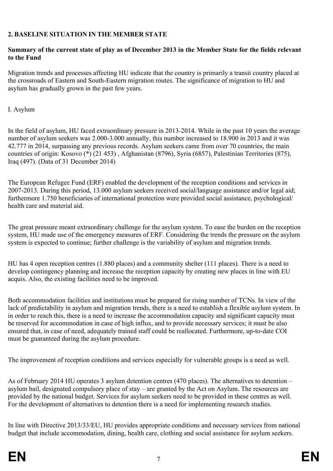#### <span id="page-12-0"></span>**2. BASELINE SITUATION IN THE MEMBER STATE**

#### <span id="page-12-1"></span>**Summary of the current state of play as of December 2013 in the Member State for the fields relevant to the Fund**

Migration trends and processes affecting HU indicate that the country is primarily a transit country placed at the crossroads of Eastern and South-Eastern migration routes. The significance of migration to HU and asylum has gradually grown in the past few years.

I. Asylum

In the field of asylum, HU faced extraordinary pressure in 2013-2014. While in the past 10 years the average number of asylum seekers was 2.000-3.000 annually, this number increased to 18.900 in 2013 and it was 42.777 in 2014, surpassing any previous records. Asylum seekers came from over 70 countries, the main countries of origin: Kosovo (\*) (21 453) , Afghanistan (8796), Syria (6857), Palestinian Territories (875), Iraq (497). (Data of 31 December 2014)

The European Refugee Fund (ERF) enabled the development of the reception conditions and services in 2007-2013. During this period, 13.000 asylum seekers received social/language assistance and/or legal aid; furthermore 1.750 beneficiaries of international protection were provided social assistance, psychological/ health care and material aid.

The great pressure meant extraordinary challenge for the asylum system. To ease the burden on the reception system, HU made use of the emergency measures of ERF. Considering the trends the pressure on the asylum system is expected to continue; further challenge is the variability of asylum and migration trends.

HU has 4 open reception centres (1.880 places) and a community shelter (111 places). There is a need to develop contingency planning and increase the reception capacity by creating new places in line with EU acquis. Also, the existing facilities need to be improved.

Both accommodation facilities and institutions must be prepared for rising number of TCNs. In view of the lack of predictability in asylum and migration trends, there is a need to establish a flexible asylum system. In in order to reach this, there is a need to increase the accommodation capacity and significant capacity must be reserved for accommodation in case of high influx, and to provide necessary services; it must be also ensured that, in case of need, adequately trained staff could be reallocated. Furthermore, up-to-date COI must be guaranteed during the asylum procedure.

The improvement of reception conditions and services especially for vulnerable groups is a need as well.

As of February 2014 HU operates 3 asylum detention centres (470 places). The alternatives to detention – asylum bail, designated compulsory place of stay – are granted by the Act on Asylum. The resources are provided by the national budget. Services for asylum seekers need to be provided in these centres as well. For the development of alternatives to detention there is a need for implementing research studies.

In line with Directive 2013/33/EU, HU provides appropriate conditions and necessary services from national budget that include accommodation, dining, health care, clothing and social assistance for asylum seekers.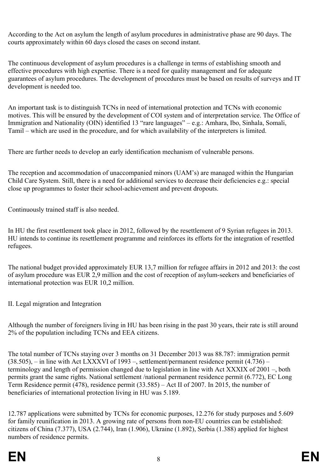According to the Act on asylum the length of asylum procedures in administrative phase are 90 days. The courts approximately within 60 days closed the cases on second instant.

The continuous development of asylum procedures is a challenge in terms of establishing smooth and effective procedures with high expertise. There is a need for quality management and for adequate guarantees of asylum procedures. The development of procedures must be based on results of surveys and IT development is needed too.

An important task is to distinguish TCNs in need of international protection and TCNs with economic motives. This will be ensured by the development of COI system and of interpretation service. The Office of Immigration and Nationality (OIN) identified 13 "rare languages" – e.g.: Amhara, Ibo, Sinhala, Somali, Tamil – which are used in the procedure, and for which availability of the interpreters is limited.

There are further needs to develop an early identification mechanism of vulnerable persons.

The reception and accommodation of unaccompanied minors (UAM's) are managed within the Hungarian Child Care System. Still, there is a need for additional services to decrease their deficiencies e.g.: special close up programmes to foster their school-achievement and prevent dropouts.

Continuously trained staff is also needed.

In HU the first resettlement took place in 2012, followed by the resettlement of 9 Syrian refugees in 2013. HU intends to continue its resettlement programme and reinforces its efforts for the integration of resettled refugees.

The national budget provided approximately EUR 13,7 million for refugee affairs in 2012 and 2013: the cost of asylum procedure was EUR 2,9 million and the cost of reception of asylum-seekers and beneficiaries of international protection was EUR 10,2 million.

II. Legal migration and Integration

Although the number of foreigners living in HU has been rising in the past 30 years, their rate is still around 2% of the population including TCNs and EEA citizens.

The total number of TCNs staying over 3 months on 31 December 2013 was 88.787: immigration permit  $(38.505)$ , – in line with Act LXXXVI of 1993 –, settlement/permanent residence permit  $(4.736)$  – terminology and length of permission changed due to legislation in line with Act XXXIX of 2001 –, both permits grant the same rights. National settlement /national permanent residence permit (6.772), EC Long Term Residence permit (478), residence permit (33.585) – Act II of 2007. In 2015, the number of beneficiaries of international protection living in HU was 5.189.

12.787 applications were submitted by TCNs for economic purposes, 12.276 for study purposes and 5.609 for family reunification in 2013. A growing rate of persons from non-EU countries can be established: citizens of China (7.377), USA (2.744), Iran (1.906), Ukraine (1.892), Serbia (1.388) applied for highest numbers of residence permits.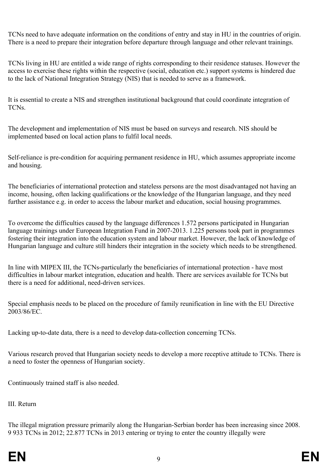TCNs need to have adequate information on the conditions of entry and stay in HU in the countries of origin. There is a need to prepare their integration before departure through language and other relevant trainings.

TCNs living in HU are entitled a wide range of rights corresponding to their residence statuses. However the access to exercise these rights within the respective (social, education etc.) support systems is hindered due to the lack of National Integration Strategy (NIS) that is needed to serve as a framework.

It is essential to create a NIS and strengthen institutional background that could coordinate integration of TCNs.

The development and implementation of NIS must be based on surveys and research. NIS should be implemented based on local action plans to fulfil local needs.

Self-reliance is pre-condition for acquiring permanent residence in HU, which assumes appropriate income and housing.

The beneficiaries of international protection and stateless persons are the most disadvantaged not having an income, housing, often lacking qualifications or the knowledge of the Hungarian language, and they need further assistance e.g. in order to access the labour market and education, social housing programmes.

To overcome the difficulties caused by the language differences 1.572 persons participated in Hungarian language trainings under European Integration Fund in 2007-2013. 1.225 persons took part in programmes fostering their integration into the education system and labour market. However, the lack of knowledge of Hungarian language and culture still hinders their integration in the society which needs to be strengthened.

In line with MIPEX III, the TCNs-particularly the beneficiaries of international protection - have most difficulties in labour market integration, education and health. There are services available for TCNs but there is a need for additional, need-driven services.

Special emphasis needs to be placed on the procedure of family reunification in line with the EU Directive 2003/86/EC.

Lacking up-to-date data, there is a need to develop data-collection concerning TCNs.

Various research proved that Hungarian society needs to develop a more receptive attitude to TCNs. There is a need to foster the openness of Hungarian society.

Continuously trained staff is also needed.

#### III. Return

The illegal migration pressure primarily along the Hungarian-Serbian border has been increasing since 2008. 9 933 TCNs in 2012; 22.877 TCNs in 2013 entering or trying to enter the country illegally were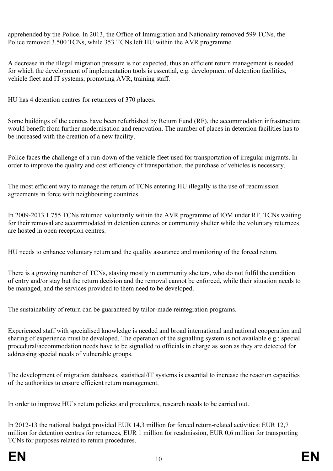apprehended by the Police. In 2013, the Office of Immigration and Nationality removed 599 TCNs, the Police removed 3.500 TCNs, while 353 TCNs left HU within the AVR programme.

A decrease in the illegal migration pressure is not expected, thus an efficient return management is needed for which the development of implementation tools is essential, e.g. development of detention facilities, vehicle fleet and IT systems; promoting AVR, training staff.

HU has 4 detention centres for returnees of 370 places.

Some buildings of the centres have been refurbished by Return Fund (RF), the accommodation infrastructure would benefit from further modernisation and renovation. The number of places in detention facilities has to be increased with the creation of a new facility.

Police faces the challenge of a run-down of the vehicle fleet used for transportation of irregular migrants. In order to improve the quality and cost efficiency of transportation, the purchase of vehicles is necessary.

The most efficient way to manage the return of TCNs entering HU illegally is the use of readmission agreements in force with neighbouring countries.

In 2009-2013 1.755 TCNs returned voluntarily within the AVR programme of IOM under RF. TCNs waiting for their removal are accommodated in detention centres or community shelter while the voluntary returnees are hosted in open reception centres.

HU needs to enhance voluntary return and the quality assurance and monitoring of the forced return.

There is a growing number of TCNs, staying mostly in community shelters, who do not fulfil the condition of entry and/or stay but the return decision and the removal cannot be enforced, while their situation needs to be managed, and the services provided to them need to be developed.

The sustainability of return can be guaranteed by tailor-made reintegration programs.

Experienced staff with specialised knowledge is needed and broad international and national cooperation and sharing of experience must be developed. The operation of the signalling system is not available e.g.: special procedural/accommodation needs have to be signalled to officials in charge as soon as they are detected for addressing special needs of vulnerable groups.

The development of migration databases, statistical/IT systems is essential to increase the reaction capacities of the authorities to ensure efficient return management.

In order to improve HU's return policies and procedures, research needs to be carried out.

In 2012-13 the national budget provided EUR 14,3 million for forced return-related activities: EUR 12,7 million for detention centres for returnees, EUR 1 million for readmission, EUR 0,6 million for transporting TCNs for purposes related to return procedures.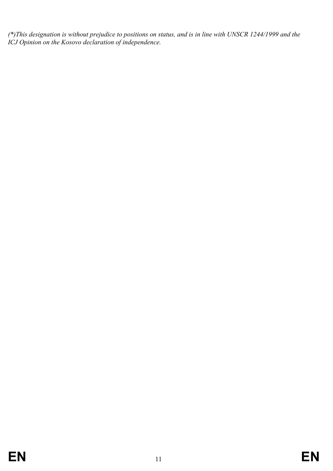*(\*)This designation is without prejudice to positions on status, and is in line with UNSCR 1244/1999 and the ICJ Opinion on the Kosovo declaration of independence.*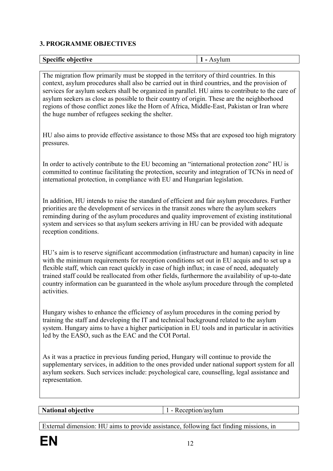#### <span id="page-17-0"></span>**3. PROGRAMME OBJECTIVES**

| obiective<br><b>Specific</b><br>$\overline{\phantom{a}}$<br>$\sim$ r<br>___ |
|-----------------------------------------------------------------------------|
|-----------------------------------------------------------------------------|

<span id="page-17-1"></span>The migration flow primarily must be stopped in the territory of third countries. In this context, asylum procedures shall also be carried out in third countries, and the provision of services for asylum seekers shall be organized in parallel. HU aims to contribute to the care of asylum seekers as close as possible to their country of origin. These are the neighborhood regions of those conflict zones like the Horn of Africa, Middle-East, Pakistan or Iran where the huge number of refugees seeking the shelter.

HU also aims to provide effective assistance to those MSs that are exposed too high migratory pressures.

In order to actively contribute to the EU becoming an "international protection zone" HU is committed to continue facilitating the protection, security and integration of TCNs in need of international protection, in compliance with EU and Hungarian legislation.

In addition, HU intends to raise the standard of efficient and fair asylum procedures. Further priorities are the development of services in the transit zones where the asylum seekers reminding during of the asylum procedures and quality improvement of existing institutional system and services so that asylum seekers arriving in HU can be provided with adequate reception conditions.

HU's aim is to reserve significant accommodation (infrastructure and human) capacity in line with the minimum requirements for reception conditions set out in EU acquis and to set up a flexible staff, which can react quickly in case of high influx; in case of need, adequately trained staff could be reallocated from other fields, furthermore the availability of up-to-date country information can be guaranteed in the whole asylum procedure through the completed activities.

Hungary wishes to enhance the efficiency of asylum procedures in the coming period by training the staff and developing the IT and technical background related to the asylum system. Hungary aims to have a higher participation in EU tools and in particular in activities led by the EASO, such as the EAC and the COI Portal.

As it was a practice in previous funding period, Hungary will continue to provide the supplementary services, in addition to the ones provided under national support system for all asylum seekers. Such services include: psychological care, counselling, legal assistance and representation.

<span id="page-17-2"></span>**National objective** 1 - Reception/asylum

<span id="page-17-3"></span>

External dimension: HU aims to provide assistance, following fact finding missions, in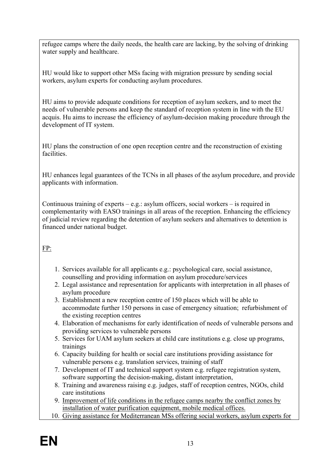refugee camps where the daily needs, the health care are lacking, by the solving of drinking water supply and healthcare.

HU would like to support other MSs facing with migration pressure by sending social workers, asylum experts for conducting asylum procedures.

HU aims to provide adequate conditions for reception of asylum seekers, and to meet the needs of vulnerable persons and keep the standard of reception system in line with the EU acquis. Hu aims to increase the efficiency of asylum-decision making procedure through the development of IT system.

HU plans the construction of one open reception centre and the reconstruction of existing facilities.

HU enhances legal guarantees of the TCNs in all phases of the asylum procedure, and provide applicants with information.

Continuous training of experts – e.g.: asylum officers, social workers – is required in complementarity with EASO trainings in all areas of the reception. Enhancing the efficiency of judicial review regarding the detention of asylum seekers and alternatives to detention is financed under national budget.

#### FP:

- 1. Services available for all applicants e.g.: psychological care, social assistance, counselling and providing information on asylum procedure/services
- 2. Legal assistance and representation for applicants with interpretation in all phases of asylum procedure
- 3. Establishment a new reception centre of 150 places which will be able to accommodate further 150 persons in case of emergency situation; refurbishment of the existing reception centres
- 4. Elaboration of mechanisms for early identification of needs of vulnerable persons and providing services to vulnerable persons
- 5. Services for UAM asylum seekers at child care institutions e.g. close up programs, trainings
- 6. Capacity building for health or social care institutions providing assistance for vulnerable persons e.g. translation services, training of staff
- 7. Development of IT and technical support system e.g. refugee registration system, software supporting the decision-making, distant interpretation,
- 8. Training and awareness raising e.g. judges, staff of reception centres, NGOs, child care institutions
- 9. Improvement of life conditions in the refugee camps nearby the conflict zones by installation of water purification equipment, mobile medical offices.
- 10. Giving assistance for Mediterranean MSs offering social workers, asylum experts for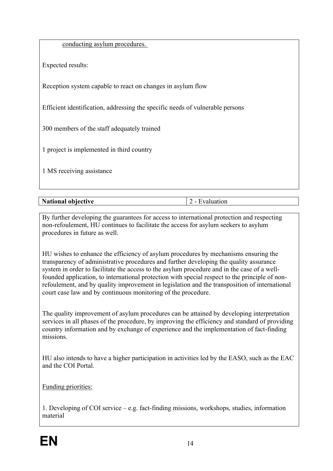|  |  | conducting asylum procedures. |  |
|--|--|-------------------------------|--|
|  |  |                               |  |

Expected results:

Reception system capable to react on changes in asylum flow

Efficient identification, addressing the specific needs of vulnerable persons

300 members of the staff adequately trained

1 project is implemented in third country

1 MS receiving assistance

| Ns.<br><b>hiective</b><br>-----<br><b>EMILIONAL</b> | - |
|-----------------------------------------------------|---|

<span id="page-19-0"></span>By further developing the guarantees for access to international protection and respecting non-refoulement, HU continues to facilitate the access for asylum seekers to asylum procedures in future as well.

HU wishes to enhance the efficiency of asylum procedures by mechanisms ensuring the transparency of administrative procedures and further developing the quality assurance system in order to facilitate the access to the asylum procedure and in the case of a wellfounded application, to international protection with special respect to the principle of nonrefoulement, and by quality improvement in legislation and the transposition of international court case law and by continuous monitoring of the procedure.

The quality improvement of asylum procedures can be attained by developing interpretation services in all phases of the procedure, by improving the efficiency and standard of providing country information and by exchange of experience and the implementation of fact-finding missions.

HU also intends to have a higher participation in activities led by the EASO, such as the EAC and the COI Portal.

Funding priorities:

1. Developing of COI service – e.g. fact-finding missions, workshops, studies, information material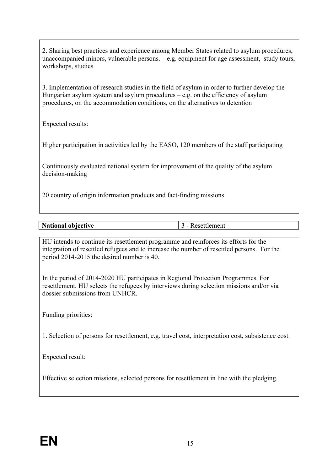2. Sharing best practices and experience among Member States related to asylum procedures, unaccompanied minors, vulnerable persons.  $-e.g.$  equipment for age assessment, study tours, workshops, studies

3. Implementation of research studies in the field of asylum in order to further develop the Hungarian asylum system and asylum procedures – e.g. on the efficiency of asylum procedures, on the accommodation conditions, on the alternatives to detention

Expected results:

Higher participation in activities led by the EASO, 120 members of the staff participating

Continuously evaluated national system for improvement of the quality of the asylum decision-making

20 country of origin information products and fact-finding missions

| Ns.<br>shinativo<br>-----<br>tional<br>. IVP<br>. |  |
|---------------------------------------------------|--|

<span id="page-20-0"></span>HU intends to continue its resettlement programme and reinforces its efforts for the integration of resettled refugees and to increase the number of resettled persons. For the period 2014-2015 the desired number is 40.

In the period of 2014-2020 HU participates in Regional Protection Programmes. For resettlement, HU selects the refugees by interviews during selection missions and/or via dossier submissions from UNHCR.

Funding priorities:

1. Selection of persons for resettlement, e.g. travel cost, interpretation cost, subsistence cost.

Expected result:

Effective selection missions, selected persons for resettlement in line with the pledging.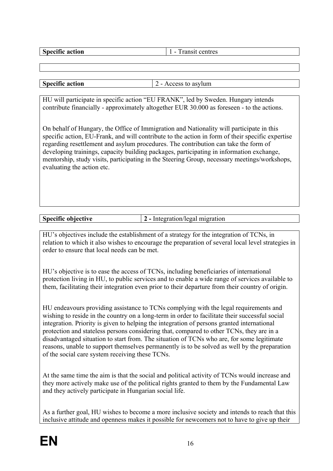<span id="page-21-1"></span><span id="page-21-0"></span>

| . .<br>tion    | ᠇᠇<br>rac           |
|----------------|---------------------|
| я не<br>я<br>. | THE'S<br><br>-<br>. |

| $\mathbf{r}$<br>action<br>-245 | $- - - -$<br>4um<br><br>_ |
|--------------------------------|---------------------------|

<span id="page-21-2"></span>HU will participate in specific action "EU FRANK", led by Sweden. Hungary intends contribute financially - approximately altogether EUR 30.000 as foreseen - to the actions.

On behalf of Hungary, the Office of Immigration and Nationality will participate in this specific action, EU-Frank, and will contribute to the action in form of their specific expertise regarding resettlement and asylum procedures. The contribution can take the form of developing trainings, capacity building packages, participating in information exchange, mentorship, study visits, participating in the Steering Group, necessary meetings/workshops, evaluating the action etc.

| <b>Specific objective</b> | $\sim$ $\sim$ $\sim$<br>- - -- -<br>--------<br>.<br>15.Y |
|---------------------------|-----------------------------------------------------------|

<span id="page-21-3"></span>HU's objectives include the establishment of a strategy for the integration of TCNs, in relation to which it also wishes to encourage the preparation of several local level strategies in order to ensure that local needs can be met.

HU's objective is to ease the access of TCNs, including beneficiaries of international protection living in HU, to public services and to enable a wide range of services available to them, facilitating their integration even prior to their departure from their country of origin.

HU endeavours providing assistance to TCNs complying with the legal requirements and wishing to reside in the country on a long-term in order to facilitate their successful social integration. Priority is given to helping the integration of persons granted international protection and stateless persons considering that, compared to other TCNs, they are in a disadvantaged situation to start from. The situation of TCNs who are, for some legitimate reasons, unable to support themselves permanently is to be solved as well by the preparation of the social care system receiving these TCNs.

At the same time the aim is that the social and political activity of TCNs would increase and they more actively make use of the political rights granted to them by the Fundamental Law and they actively participate in Hungarian social life.

As a further goal, HU wishes to become a more inclusive society and intends to reach that this inclusive attitude and openness makes it possible for newcomers not to have to give up their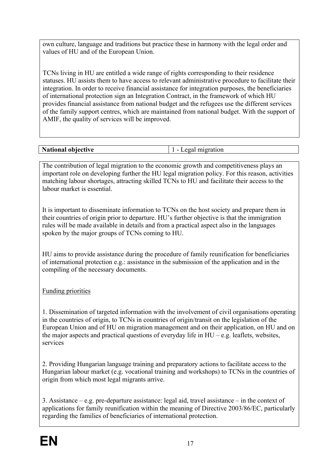own culture, language and traditions but practice these in harmony with the legal order and values of HU and of the European Union.

TCNs living in HU are entitled a wide range of rights corresponding to their residence statuses. HU assists them to have access to relevant administrative procedure to facilitate their integration. In order to receive financial assistance for integration purposes, the beneficiaries of international protection sign an Integration Contract, in the framework of which HU provides financial assistance from national budget and the refugees use the different services of the family support centres, which are maintained from national budget. With the support of AMIF, the quality of services will be improved.

<span id="page-22-0"></span>

| National objective | tıon<br>$\sim$<br>- |
|--------------------|---------------------|

<span id="page-22-1"></span>The contribution of legal migration to the economic growth and competitiveness plays an important role on developing further the HU legal migration policy. For this reason, activities matching labour shortages, attracting skilled TCNs to HU and facilitate their access to the labour market is essential.

It is important to disseminate information to TCNs on the host society and prepare them in their countries of origin prior to departure. HU's further objective is that the immigration rules will be made available in details and from a practical aspect also in the languages spoken by the major groups of TCNs coming to HU.

HU aims to provide assistance during the procedure of family reunification for beneficiaries of international protection e.g.: assistance in the submission of the application and in the compiling of the necessary documents.

Funding priorities

1. Dissemination of targeted information with the involvement of civil organisations operating in the countries of origin, to TCNs in countries of origin/transit on the legislation of the European Union and of HU on migration management and on their application, on HU and on the major aspects and practical questions of everyday life in  $HU - e.g.$  leaflets, websites, services

2. Providing Hungarian language training and preparatory actions to facilitate access to the Hungarian labour market (e.g. vocational training and workshops) to TCNs in the countries of origin from which most legal migrants arrive.

3. Assistance – e.g. pre-departure assistance: legal aid, travel assistance – in the context of applications for family reunification within the meaning of Directive 2003/86/EC, particularly regarding the families of beneficiaries of international protection.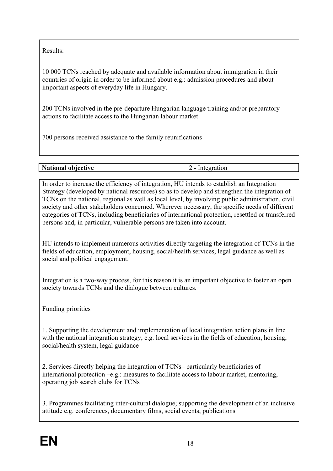Results:

10 000 TCNs reached by adequate and available information about immigration in their countries of origin in order to be informed about e.g.: admission procedures and about important aspects of everyday life in Hungary.

200 TCNs involved in the pre-departure Hungarian language training and/or preparatory actions to facilitate access to the Hungarian labour market

700 persons received assistance to the family reunifications

| <b>National objective</b> | Integration |
|---------------------------|-------------|

<span id="page-23-0"></span>In order to increase the efficiency of integration, HU intends to establish an Integration Strategy (developed by national resources) so as to develop and strengthen the integration of TCNs on the national, regional as well as local level, by involving public administration, civil society and other stakeholders concerned. Wherever necessary, the specific needs of different categories of TCNs, including beneficiaries of international protection, resettled or transferred persons and, in particular, vulnerable persons are taken into account.

HU intends to implement numerous activities directly targeting the integration of TCNs in the fields of education, employment, housing, social/health services, legal guidance as well as social and political engagement.

Integration is a two-way process, for this reason it is an important objective to foster an open society towards TCNs and the dialogue between cultures.

Funding priorities

1. Supporting the development and implementation of local integration action plans in line with the national integration strategy, e.g. local services in the fields of education, housing, social/health system, legal guidance

2. Services directly helping the integration of TCNs– particularly beneficiaries of international protection –e.g.: measures to facilitate access to labour market, mentoring, operating job search clubs for TCNs

3. Programmes facilitating inter-cultural dialogue; supporting the development of an inclusive attitude e.g. conferences, documentary films, social events, publications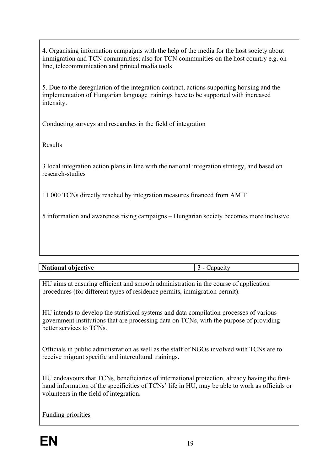4. Organising information campaigns with the help of the media for the host society about immigration and TCN communities; also for TCN communities on the host country e.g. online, telecommunication and printed media tools

5. Due to the deregulation of the integration contract, actions supporting housing and the implementation of Hungarian language trainings have to be supported with increased intensity.

Conducting surveys and researches in the field of integration

Results

3 local integration action plans in line with the national integration strategy, and based on research-studies

11 000 TCNs directly reached by integration measures financed from AMIF

5 information and awareness rising campaigns – Hungarian society becomes more inclusive

**National objective** <br> 3 - Capacity

<span id="page-24-0"></span>

HU aims at ensuring efficient and smooth administration in the course of application procedures (for different types of residence permits, immigration permit).

HU intends to develop the statistical systems and data compilation processes of various government institutions that are processing data on TCNs, with the purpose of providing better services to TCNs.

Officials in public administration as well as the staff of NGOs involved with TCNs are to receive migrant specific and intercultural trainings.

HU endeavours that TCNs, beneficiaries of international protection, already having the firsthand information of the specificities of TCNs' life in HU, may be able to work as officials or volunteers in the field of integration.

Funding priorities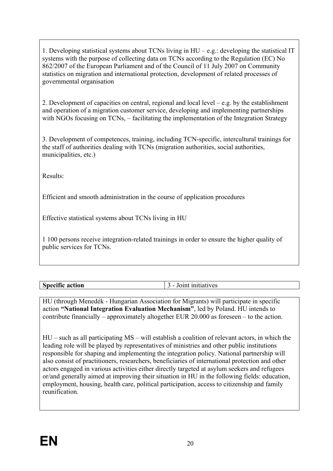1. Developing statistical systems about TCNs living in HU – e.g.: developing the statistical IT systems with the purpose of collecting data on TCNs according to the Regulation (EC) No 862/2007 of the European Parliament and of the Council of 11 July 2007 on Community statistics on migration and international protection, development of related processes of governmental organisation

2. Development of capacities on central, regional and local level – e.g. by the establishment and operation of a migration customer service, developing and implementing partnerships with NGOs focusing on TCNs, – facilitating the implementation of the Integration Strategy

3. Development of competences, training, including TCN-specific, intercultural trainings for the staff of authorities dealing with TCNs (migration authorities, social authorities, municipalities, etc.)

Results:

Efficient and smooth administration in the course of application procedures

Effective statistical systems about TCNs living in HU

1 100 persons receive integration-related trainings in order to ensure the higher quality of public services for TCNs.

<span id="page-25-0"></span>

| $\sim$<br>$\bullet$ $\bullet$<br>$\alpha$ <sup>1</sup><br><b>Speci</b><br>ertic<br>асион<br>. | atıves<br>.<br>__ |
|-----------------------------------------------------------------------------------------------|-------------------|
|                                                                                               |                   |

<span id="page-25-1"></span>HU (through Menedék - Hungarian Association for Migrants) will participate in specific action **"National Integration Evaluation Mechanism"**, led by Poland. HU intends to contribute financially – approximately altogether EUR 20.000 as foreseen – to the action.

HU – such as all participating MS – will establish a coalition of relevant actors, in which the leading role will be played by representatives of ministries and other public institutions responsible for shaping and implementing the integration policy. National partnership will also consist of practitioners, researchers, beneficiaries of international protection and other actors engaged in various activities either directly targeted at asylum seekers and refugees or/and generally aimed at improving their situation in HU in the following fields: education, employment, housing, health care, political participation, access to citizenship and family reunification.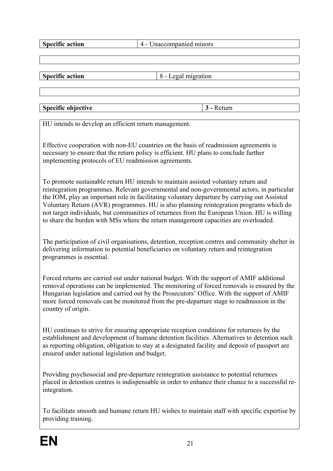**Specific action**  $\begin{array}{|c|c|} \hline \end{array}$  4 - Unaccompanied minors

**Specific action** 8 - Legal migration

**Specific objective 3** - Return

<span id="page-26-2"></span><span id="page-26-1"></span><span id="page-26-0"></span>

HU intends to develop an efficient return management.

Effective cooperation with non-EU countries on the basis of readmission agreements is necessary to ensure that the return policy is efficient. HU plans to conclude further implementing protocols of EU readmission agreements.

To promote sustainable return HU intends to maintain assisted voluntary return and reintegration programmes. Relevant governmental and non-governmental actors, in particular the IOM, play an important role in facilitating voluntary departure by carrying out Assisted Voluntary Return (AVR) programmes. HU is also planning reintegration programs which do not target individuals, but communities of returnees from the European Union. HU is willing to share the burden with MSs where the return management capacities are overloaded.

The participation of civil organisations, detention, reception centres and community shelter in delivering information to potential beneficiaries on voluntary return and reintegration programmes is essential.

Forced returns are carried out under national budget. With the support of AMIF additional removal operations can be implemented. The monitoring of forced removals is ensured by the Hungarian legislation and carried out by the Prosecutors' Office. With the support of AMIF more forced removals can be monitored from the pre-departure stage to readmission in the country of origin.

HU continues to strive for ensuring appropriate reception conditions for returnees by the establishment and development of humane detention facilities. Alternatives to detention such as reporting obligation, obligation to stay at a designated facility and deposit of passport are ensured under national legislation and budget.

Providing psychosocial and pre-departure reintegration assistance to potential returnees placed in detention centres is indispensable in order to enhance their chance to a successful reintegration.

To facilitate smooth and humane return HU wishes to maintain staff with specific expertise by providing training.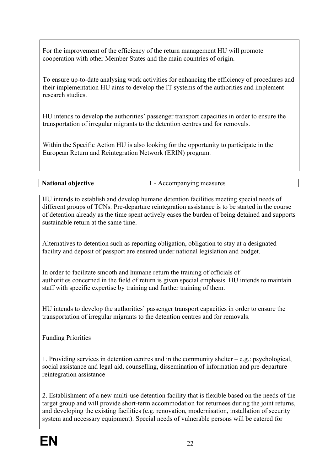For the improvement of the efficiency of the return management HU will promote cooperation with other Member States and the main countries of origin.

To ensure up-to-date analysing work activities for enhancing the efficiency of procedures and their implementation HU aims to develop the IT systems of the authorities and implement research studies.

HU intends to develop the authorities' passenger transport capacities in order to ensure the transportation of irregular migrants to the detention centres and for removals.

Within the Specific Action HU is also looking for the opportunity to participate in the European Return and Reintegration Network (ERIN) program.

<span id="page-27-1"></span><span id="page-27-0"></span>

| <b>National objective</b> | Accompanying measures |
|---------------------------|-----------------------|
|---------------------------|-----------------------|

HU intends to establish and develop humane detention facilities meeting special needs of different groups of TCNs. Pre-departure reintegration assistance is to be started in the course of detention already as the time spent actively eases the burden of being detained and supports sustainable return at the same time.

Alternatives to detention such as reporting obligation, obligation to stay at a designated facility and deposit of passport are ensured under national legislation and budget.

In order to facilitate smooth and humane return the training of officials of authorities concerned in the field of return is given special emphasis. HU intends to maintain staff with specific expertise by training and further training of them.

HU intends to develop the authorities' passenger transport capacities in order to ensure the transportation of irregular migrants to the detention centres and for removals.

Funding Priorities

1. Providing services in detention centres and in the community shelter – e.g.: psychological, social assistance and legal aid, counselling, dissemination of information and pre-departure reintegration assistance

2. Establishment of a new multi-use detention facility that is flexible based on the needs of the target group and will provide short-term accommodation for returnees during the joint returns, and developing the existing facilities (e.g. renovation, modernisation, installation of security system and necessary equipment). Special needs of vulnerable persons will be catered for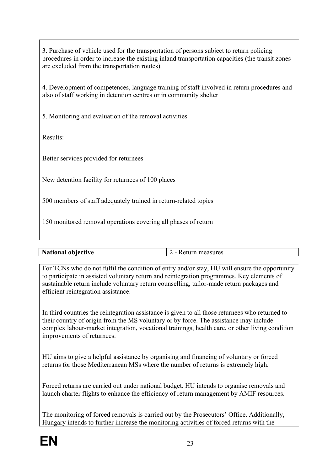3. Purchase of vehicle used for the transportation of persons subject to return policing procedures in order to increase the existing inland transportation capacities (the transit zones are excluded from the transportation routes).

4. Development of competences, language training of staff involved in return procedures and also of staff working in detention centres or in community shelter

5. Monitoring and evaluation of the removal activities

Results:

Better services provided for returnees

New detention facility for returnees of 100 places

500 members of staff adequately trained in return-related topics

150 monitored removal operations covering all phases of return

| <b>National objective</b> | - Return measures |
|---------------------------|-------------------|

<span id="page-28-0"></span>For TCNs who do not fulfil the condition of entry and/or stay, HU will ensure the opportunity to participate in assisted voluntary return and reintegration programmes. Key elements of sustainable return include voluntary return counselling, tailor-made return packages and efficient reintegration assistance.

In third countries the reintegration assistance is given to all those returnees who returned to their country of origin from the MS voluntary or by force. The assistance may include complex labour-market integration, vocational trainings, health care, or other living condition improvements of returnees.

HU aims to give a helpful assistance by organising and financing of voluntary or forced returns for those Mediterranean MSs where the number of returns is extremely high.

Forced returns are carried out under national budget. HU intends to organise removals and launch charter flights to enhance the efficiency of return management by AMIF resources.

The monitoring of forced removals is carried out by the Prosecutors' Office. Additionally, Hungary intends to further increase the monitoring activities of forced returns with the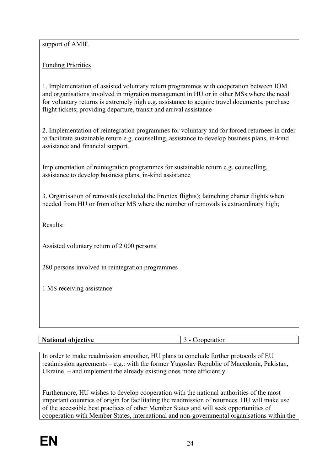support of AMIF.

Funding Priorities

1. Implementation of assisted voluntary return programmes with cooperation between IOM and organisations involved in migration management in HU or in other MSs where the need for voluntary returns is extremely high e.g. assistance to acquire travel documents; purchase flight tickets; providing departure, transit and arrival assistance

2. Implementation of reintegration programmes for voluntary and for forced returnees in order to facilitate sustainable return e.g. counselling, assistance to develop business plans, in-kind assistance and financial support.

Implementation of reintegration programmes for sustainable return e.g. counselling, assistance to develop business plans, in-kind assistance

3. Organisation of removals (excluded the Frontex flights); launching charter flights when needed from HU or from other MS where the number of removals is extraordinary high;

Results:

Assisted voluntary return of 2 000 persons

280 persons involved in reintegration programmes

1 MS receiving assistance

#### **National objective** 3 - Cooperation

<span id="page-29-0"></span>

In order to make readmission smoother, HU plans to conclude further protocols of EU readmission agreements – e.g.: with the former Yugoslav Republic of Macedonia, Pakistan, Ukraine, – and implement the already existing ones more efficiently.

Furthermore, HU wishes to develop cooperation with the national authorities of the most important countries of origin for facilitating the readmission of returnees. HU will make use of the accessible best practices of other Member States and will seek opportunities of cooperation with Member States, international and non-governmental organisations within the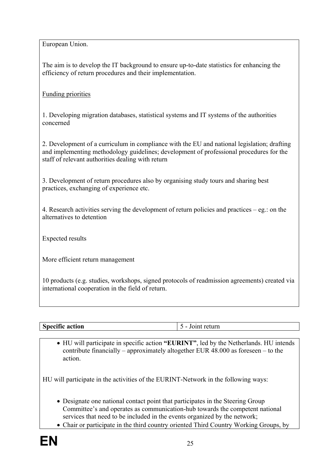European Union.

The aim is to develop the IT background to ensure up-to-date statistics for enhancing the efficiency of return procedures and their implementation.

Funding priorities

1. Developing migration databases, statistical systems and IT systems of the authorities concerned

2. Development of a curriculum in compliance with the EU and national legislation; drafting and implementing methodology guidelines; development of professional procedures for the staff of relevant authorities dealing with return

3. Development of return procedures also by organising study tours and sharing best practices, exchanging of experience etc.

4. Research activities serving the development of return policies and practices – eg.: on the alternatives to detention

Expected results

More efficient return management

10 products (e.g. studies, workshops, signed protocols of readmission agreements) created via international cooperation in the field of return.

<span id="page-30-0"></span>

| $\bullet$<br>и<br>80 O O<br><br>. |  |
|-----------------------------------|--|
|-----------------------------------|--|

<span id="page-30-1"></span> HU will participate in specific action **"EURINT"**, led by the Netherlands. HU intends contribute financially – approximately altogether EUR 48.000 as foreseen – to the action.

HU will participate in the activities of the EURINT-Network in the following ways:

- Designate one national contact point that participates in the Steering Group Committee's and operates as communication-hub towards the competent national services that need to be included in the events organized by the network;
- Chair or participate in the third country oriented Third Country Working Groups, by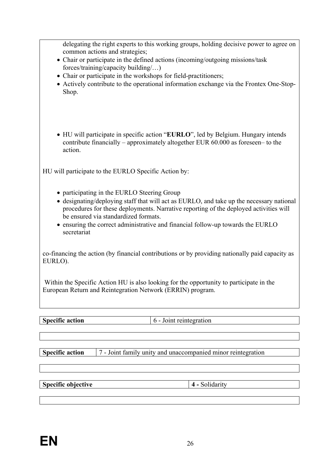delegating the right experts to this working groups, holding decisive power to agree on common actions and strategies;

- Chair or participate in the defined actions (incoming/outgoing missions/task forces/training/capacity building/…)
- Chair or participate in the workshops for field-practitioners;
- Actively contribute to the operational information exchange via the Frontex One-Stop-Shop.
- HU will participate in specific action "**EURLO**", led by Belgium. Hungary intends contribute financially – approximately altogether EUR 60.000 as foreseen– to the action.

HU will participate to the EURLO Specific Action by:

- participating in the EURLO Steering Group
- designating/deploying staff that will act as EURLO, and take up the necessary national procedures for these deployments. Narrative reporting of the deployed activities will be ensured via standardized formats.
- ensuring the correct administrative and financial follow-up towards the EURLO secretariat

co-financing the action (by financial contributions or by providing nationally paid capacity as EURLO).

 Within the Specific Action HU is also looking for the opportunity to participate in the European Return and Reintegration Network (ERRIN) program.

| $\cdot$ $\sim$<br>$S_{\text{max}}$<br>ecific action<br>◡ | $\sim$ $\sim$<br>aliuli |
|----------------------------------------------------------|-------------------------|
|                                                          |                         |

<span id="page-31-1"></span>**Specific action** 7 - Joint family unity and unaccompanied minor reintegration

<span id="page-31-4"></span><span id="page-31-3"></span>**Specific objective 4 - Solidarity** 

<span id="page-31-2"></span><span id="page-31-0"></span>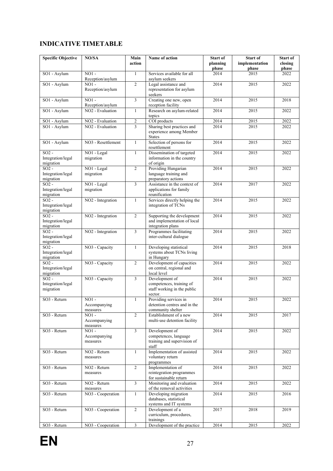#### <span id="page-32-0"></span>**INDICATIVE TIMETABLE**

| <b>Specific Objective</b>                 | NO/SA                                                        | Main<br>action      | Name of action                                                                         | <b>Start of</b><br>planning<br>phase | <b>Start of</b><br>implementation<br>phase | Start of<br>closing<br>phase |
|-------------------------------------------|--------------------------------------------------------------|---------------------|----------------------------------------------------------------------------------------|--------------------------------------|--------------------------------------------|------------------------------|
| SO1 - Asylum                              | $NO1 -$                                                      | $\mathbf{1}$        | Services available for all                                                             | 2014                                 | 2015                                       | 2022                         |
| SO1 - Asylum                              | Reception/asylum<br>$NO1 -$<br>Reception/asylum              | $\overline{2}$      | asylum seekers<br>Legal assistance and<br>representation for asylum<br>seekers         | 2014                                 | 2015                                       | 2022                         |
| SO1 - Asylum                              | $NO1 -$<br>Reception/asylum                                  | 3                   | Creating one new, open<br>reception facility                                           | 2014                                 | 2015                                       | 2018                         |
| SO1 - Asylum                              | NO <sub>2</sub> - Evaluation                                 | $\mathbf{1}$        | Research on asylum-related<br>topics                                                   | 2014                                 | 2015                                       | 2022                         |
| SO1 - Asylum<br>SO1 - Asylum              | NO <sub>2</sub> - Evaluation<br>NO <sub>2</sub> - Evaluation | $\overline{c}$<br>3 | COI products<br>Sharing best practices and<br>experience among Member<br><b>States</b> | 2014<br>2014                         | 2015<br>2015                               | 2022<br>2022                 |
| SO1 - Asylum                              | NO3 - Resettlement                                           | 1                   | Selection of persons for<br>resettlement                                               | 2014                                 | 2015                                       | 2022                         |
| $SO2 -$<br>Integration/legal<br>migration | NO1 - Legal<br>migration                                     | $\mathbf{1}$        | Dissemination of targeted<br>information in the country<br>of origin                   | 2014                                 | 2015                                       | 2022                         |
| $SO2 -$<br>Integration/legal<br>migration | NO1 - Legal<br>migration                                     | $\overline{2}$      | Providing Hungarian<br>language training and<br>preparatory actions                    | 2014                                 | 2015                                       | 2022                         |
| $SO2$ -<br>Integration/legal<br>migration | NO1 - Legal<br>migration                                     | 3                   | Assistance in the context of<br>applications for family<br>reunification               | 2014                                 | 2017                                       | 2022                         |
| $SO2 -$<br>Integration/legal<br>migration | NO <sub>2</sub> - Integration                                | $\mathbf{1}$        | Services directly helping the<br>integration of TCNs                                   | 2014                                 | 2015                                       | 2022                         |
| $SO2 -$<br>Integration/legal<br>migration | NO <sub>2</sub> - Integration                                | $\overline{2}$      | Supporting the development<br>and implementation of local<br>integration plans         | 2014                                 | 2015                                       | 2022                         |
| $SO2$ -<br>Integration/legal<br>migration | NO <sub>2</sub> - Integration                                | 3                   | Programmes facilitating<br>inter-cultural dialogue                                     | 2014                                 | 2015                                       | 2022                         |
| $SO2 -$<br>Integration/legal<br>migration | NO <sub>3</sub> - Capacity                                   | $\mathbf{1}$        | Developing statistical<br>systems about TCNs living<br>in Hungary                      | 2014                                 | 2015                                       | 2018                         |
| $SO2 -$<br>Integration/legal<br>migration | NO3 - Capacity                                               | $\overline{2}$      | Development of capacities<br>on central, regional and<br>local level                   | 2014                                 | 2015                                       | 2022                         |
| $SO2 -$<br>Integration/legal<br>migration | NO <sub>3</sub> - Capacity                                   | 3                   | Development of<br>competences, training of<br>staff working in the public<br>sector.   | 2014                                 | 2015                                       | 2022                         |
| SO3 - Return                              | $NO1 -$<br>Accompanying<br>measures                          | $\mathbf{1}$        | Providing services in<br>detention centres and in the<br>community shelter             | 2014                                 | 2015                                       | 2022                         |
| SO3 - Return                              | $NO1 -$<br>Accompanying<br>measures                          | $\overline{2}$      | Establishment of a new<br>multi-use detention facility                                 | 2014                                 | 2015                                       | 2017                         |
| SO3 - Return                              | $NO1 -$<br>Accompanying<br>measures                          | $\overline{3}$      | Development of<br>competences, language<br>training and supervision of<br>staff        | 2014                                 | 2015                                       | 2022                         |
| SO3 - Return                              | NO <sub>2</sub> - Return<br>measures                         | $\mathbf{1}$        | Implementation of assisted<br>voluntary return<br>programmes                           | 2014                                 | 2015                                       | 2022                         |
| SO3 - Return                              | NO <sub>2</sub> - Return<br>measures                         | $\overline{2}$      | Implementation of<br>reintegration programmes<br>for sustainable return                | 2014                                 | 2015                                       | 2022                         |
| SO3 - Return                              | NO <sub>2</sub> - Return<br>measures                         | 3                   | Monitoring and evaluation<br>of the removal activities                                 | 2014                                 | 2015                                       | 2022                         |
| SO3 - Return                              | NO3 - Cooperation                                            | $\mathbf{1}$        | Developing migration<br>databases, statistical<br>systems and IT systems               | 2014                                 | 2015                                       | 2016                         |
| SO3 - Return                              | NO3 - Cooperation                                            | 2                   | Development of a<br>curriculum, procedures,<br>trainings                               | 2017                                 | 2018                                       | 2019                         |
| SO3 - Return                              | NO3 - Cooperation                                            | $\overline{3}$      | Development of the practice                                                            | 2014                                 | 2015                                       | 2022                         |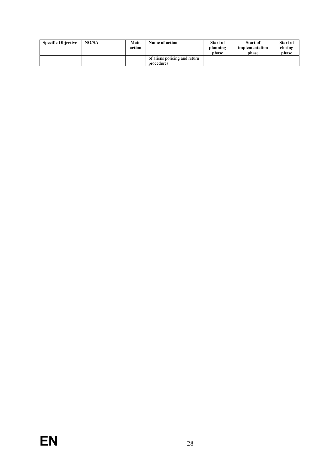| <b>Specific Objective</b> | NO/SA | Main<br>action | Name of action                | <b>Start of</b><br>planning<br>phase | Start of<br>implementation<br>phase | <b>Start of</b><br>closing<br>phase |
|---------------------------|-------|----------------|-------------------------------|--------------------------------------|-------------------------------------|-------------------------------------|
|                           |       |                | of aliens policing and return |                                      |                                     |                                     |
|                           |       |                | procedures                    |                                      |                                     |                                     |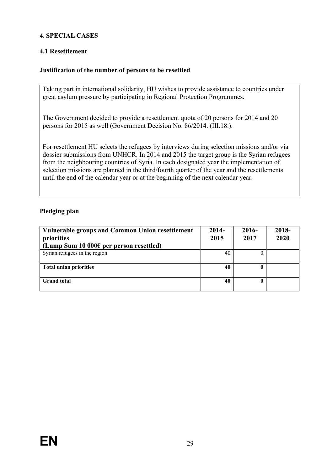#### <span id="page-34-0"></span>**4. SPECIAL CASES**

#### <span id="page-34-1"></span>**4.1 Resettlement**

#### <span id="page-34-2"></span>**Justification of the number of persons to be resettled**

Taking part in international solidarity, HU wishes to provide assistance to countries under great asylum pressure by participating in Regional Protection Programmes.

The Government decided to provide a resettlement quota of 20 persons for 2014 and 20 persons for 2015 as well (Government Decision No. 86/2014. (III.18.).

For resettlement HU selects the refugees by interviews during selection missions and/or via dossier submissions from UNHCR. In 2014 and 2015 the target group is the Syrian refugees from the neighbouring countries of Syria. In each designated year the implementation of selection missions are planned in the third/fourth quarter of the year and the resettlements until the end of the calendar year or at the beginning of the next calendar year.

#### <span id="page-34-3"></span>**Pledging plan**

| Vulnerable groups and Common Union resettlement<br>priorities<br>(Lump Sum 10 000 $\epsilon$ per person resettled) | $2014-$<br>2015 | $2016-$<br>2017 | 2018-<br>2020 |
|--------------------------------------------------------------------------------------------------------------------|-----------------|-----------------|---------------|
| Syrian refugees in the region                                                                                      | 40              | 0               |               |
| <b>Total union priorities</b>                                                                                      | 40              | 0               |               |
| <b>Grand</b> total                                                                                                 | 40              | 0               |               |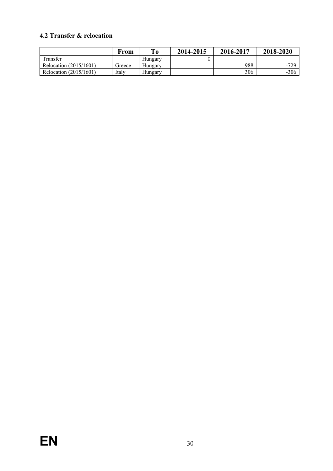#### <span id="page-35-0"></span>**4.2 Transfer & relocation**

|                        | From   |         | 2014-2015 | 2016-2017 | 2018-2020 |
|------------------------|--------|---------|-----------|-----------|-----------|
| Transfer               |        | Hungary |           |           |           |
| Relocation (2015/1601) | Greece | Hungary |           | 988       | -729      |
| Relocation (2015/1601) | Italy  | Hungary |           | 306       | $-306$    |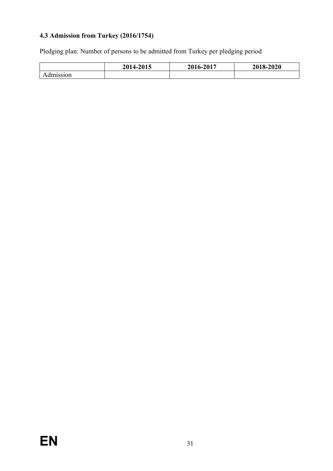### <span id="page-36-0"></span>**4.3 Admission from Turkey (2016/1754)**

Pledging plan: Number of persons to be admitted from Turkey per pledging period

|           | 2014-2015 | 16-2017<br>201 | 2018-2020 |  |
|-----------|-----------|----------------|-----------|--|
| Admission |           |                |           |  |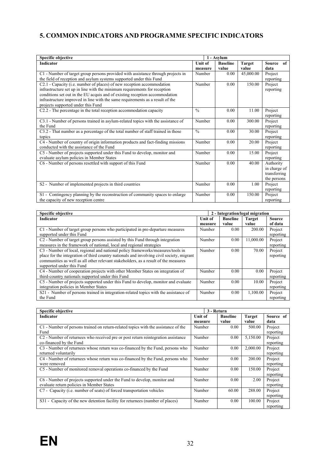#### <span id="page-37-0"></span>**5. COMMON INDICATORS AND PROGRAMME SPECIFIC INDICATORS**

| <b>Specific objective</b>                                                                                                                                                                                                                                                                                                                                 |                           | 1 - Asvlum               |                        |                                                          |
|-----------------------------------------------------------------------------------------------------------------------------------------------------------------------------------------------------------------------------------------------------------------------------------------------------------------------------------------------------------|---------------------------|--------------------------|------------------------|----------------------------------------------------------|
| <b>Indicator</b>                                                                                                                                                                                                                                                                                                                                          | <b>Unit of</b><br>measure | <b>Baseline</b><br>value | <b>Target</b><br>value | Source<br>of<br>data                                     |
| C1 - Number of target group persons provided with assistance through projects in<br>the field of reception and asylum systems supported under this Fund                                                                                                                                                                                                   | Number                    | 0.00                     | 45,000.00              | Project<br>reporting                                     |
| C2.1 - Capacity (i.e. number of places) of new reception accommodation<br>infrastructure set up in line with the minimum requirements for reception<br>conditions set out in the EU acquis and of existing reception accommodation<br>infrastructure improved in line with the same requirements as a result of the<br>projects supported under this Fund | Number                    | 0.00                     | 150.00                 | Project<br>reporting                                     |
| C2.2 - The percentage in the total reception accommodation capacity                                                                                                                                                                                                                                                                                       | $\frac{0}{0}$             | 0.00                     | 11.00                  | Project<br>reporting                                     |
| C3.1 - Number of persons trained in asylum-related topics with the assistance of<br>the Fund                                                                                                                                                                                                                                                              | Number                    | 0.00                     | 300.00                 | Project<br>reporting                                     |
| C3.2 - That number as a percentage of the total number of staff trained in those<br>topics                                                                                                                                                                                                                                                                | $\frac{0}{0}$             | 0.00                     | 30.00                  | Project<br>reporting                                     |
| C4 - Number of country of origin information products and fact-finding missions<br>conducted with the assistance of the Fund                                                                                                                                                                                                                              | Number                    | 0.00                     | 20.00                  | Project<br>reporting                                     |
| C5 - Number of projects supported under this Fund to develop, monitor and<br>evaluate asylum policies in Member States                                                                                                                                                                                                                                    | Number                    | 0.00                     | 15.00                  | Project<br>reporting                                     |
| C6 - Number of persons resettled with support of this Fund                                                                                                                                                                                                                                                                                                | Number                    | 0.00                     | 40.00                  | Authority<br>in charge of<br>transferring<br>the persons |
| S2 - Number of implemented projects in third countries                                                                                                                                                                                                                                                                                                    | Number                    | 0.00                     | 1.00                   | Project<br>reporting                                     |
| S1 - Contingency planning by the reconstruction of community spaces to enlarge<br>the capacity of new reception centre                                                                                                                                                                                                                                    | Number                    | 0.00                     | 150.00                 | Project<br>reporting                                     |

| Specific objective                                                                                                                                                                                                                                                                               |                |                 | 2 - Integration/legal migration |                      |
|--------------------------------------------------------------------------------------------------------------------------------------------------------------------------------------------------------------------------------------------------------------------------------------------------|----------------|-----------------|---------------------------------|----------------------|
| <b>Indicator</b>                                                                                                                                                                                                                                                                                 | <b>Unit of</b> | <b>Baseline</b> | <b>Target</b>                   | <b>Source</b>        |
|                                                                                                                                                                                                                                                                                                  | measure        | value           | value                           | of data              |
| C1 - Number of target group persons who participated in pre-departure measures<br>supported under this Fund                                                                                                                                                                                      | Number         | 0.00            | 200.00                          | Project<br>reporting |
| C <sub>2</sub> - Number of target group persons assisted by this Fund through integration<br>measures in the framework of national, local and regional strategies                                                                                                                                | Number         | 0.00            | 11.000.00                       | Project<br>reporting |
| C3 - Number of local, regional and national policy frameworks/measures/tools in<br>place for the integration of third country nationals and involving civil society, migrant<br>communities as well as all other relevant stakeholders, as a result of the measures<br>supported under this Fund | Number         | 0.00            | 70.00                           | Project<br>reporting |
| C4 - Number of cooperation projects with other Member States on integration of<br>third-country nationals supported under this Fund                                                                                                                                                              | Number         | 0.00            | 0.00                            | Project<br>reporting |
| C5 - Number of projects supported under this Fund to develop, monitor and evaluate<br>integration policies in Member States                                                                                                                                                                      | Number         | 0.00            | 10.00                           | Project<br>reporting |
| S21 - Number of persons trained in integration-related topics with the assistance of<br>the Fund                                                                                                                                                                                                 | Number         | 0.00            | 1.100.00                        | Project<br>reporting |

| <b>Specific objective</b>                                                                     |                | 3 - Return      |               |           |
|-----------------------------------------------------------------------------------------------|----------------|-----------------|---------------|-----------|
| Indicator                                                                                     | <b>Unit of</b> | <b>Baseline</b> | <b>Target</b> | Source of |
|                                                                                               | measure        | value           | value         | data      |
| C1 - Number of persons trained on return-related topics with the assistance of the            | Number         | 0.00            | 500.00        | Project   |
| Fund                                                                                          |                |                 |               | reporting |
| C <sub>2</sub> - Number of returnees who received pre or post return reintegration assistance | Number         | 0.00            | 5,150.00      | Project   |
| co-financed by the Fund                                                                       |                |                 |               | reporting |
| C <sub>3</sub> - Number of returnees whose return was co-financed by the Fund, persons who    | Number         | 0.00            | 2.000.00      | Project   |
| returned voluntarily                                                                          |                |                 |               | reporting |
| C4 - Number of returnees whose return was co-financed by the Fund, persons who                | Number         | 0.00            | 200.00        | Project   |
| were removed                                                                                  |                |                 |               | reporting |
| C5 - Number of monitored removal operations co-financed by the Fund                           | Number         | 0.00            | 150.00        | Project   |
|                                                                                               |                |                 |               | reporting |
| C6 - Number of projects supported under the Fund to develop, monitor and                      | Number         | 0.00            | 2.00          | Project   |
| evaluate return policies in Member States                                                     |                |                 |               | reporting |
| C7 - Capacity (i.e. number of seats) of forced transportation vehicles                        | Number         | 60.00           | 288.00        | Project   |
|                                                                                               |                |                 |               | reporting |
| Capacity of the new detention facility for returnees (number of places)<br>$S31 -$            | Number         | 0.00            | 100.00        | Project   |
|                                                                                               |                |                 |               | reporting |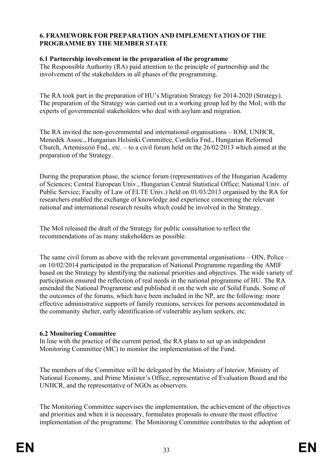#### <span id="page-38-0"></span>**6. FRAMEWORK FOR PREPARATION AND IMPLEMENTATION OF THE PROGRAMME BY THE MEMBER STATE**

#### <span id="page-38-1"></span>**6.1 Partnership involvement in the preparation of the programme**

The Responsible Authority (RA) paid attention to the principle of partnership and the involvement of the stakeholders in all phases of the programming.

The RA took part in the preparation of HU's Migration Strategy for 2014-2020 (Strategy). The preparation of the Strategy was carried out in a working group led by the MoI; with the experts of governmental stakeholders who deal with asylum and migration.

The RA invited the non-governmental and international organisations – IOM, UNHCR, Menedék Assoc., Hungarian Helsinki Committee, Cordelia Fnd., Hungarian Reformed Church, Artemisszió Fnd., etc. – to a civil forum held on the 26/02/2013 which aimed at the preparation of the Strategy.

During the preparation phase, the science forum (representatives of the Hungarian Academy of Sciences; Central European Univ., Hungarian Central Statistical Office; National Univ. of Public Service; Faculty of Law of ELTE Univ.) held on 01/03/2013 organised by the RA for researchers enabled the exchange of knowledge and experience concerning the relevant national and international research results which could be involved in the Strategy.

The MoI released the draft of the Strategy for public consultation to reflect the recommendations of as many stakeholders as possible.

The same civil forum as above with the relevant governmental organisations – OIN, Police – on 10/02/2014 participated in the preparation of National Programme regarding the AMIF based on the Strategy by identifying the national priorities and objectives. The wide variety of participation ensured the reflection of real needs in the national programme of HU. The RA amended the National Programme and published it on the web site of Solid Funds. Some of the outcomes of the forums, which have been included in the NP, are the following: more effective administrative supports of family reunions, services for persons accommodated in the community shelter, early identification of vulnerable asylum seekers, etc.

#### <span id="page-38-2"></span>**6.2 Monitoring Committee**

In line with the practice of the current period, the RA plans to set up an independent Monitoring Committee (MC) to monitor the implementation of the Fund.

The members of the Committee will be delegated by the Ministry of Interior, Ministry of National Economy, and Prime Minister's Office, representative of Evaluation Board and the UNHCR, and the representative of NGOs as observers.

The Monitoring Committee supervises the implementation, the achievement of the objectives and priorities and when it is necessary, formulates proposals to ensure the most effective implementation of the programme. The Monitoring Committee contributes to the adoption of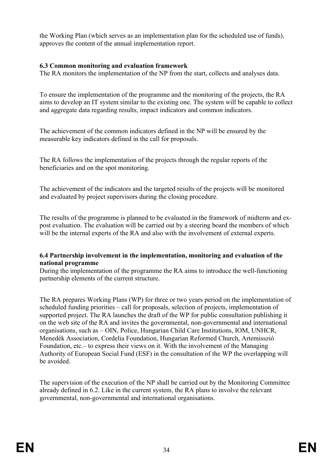the Working Plan (which serves as an implementation plan for the scheduled use of funds), approves the content of the annual implementation report.

#### <span id="page-39-0"></span>**6.3 Common monitoring and evaluation framework**

The RA monitors the implementation of the NP from the start, collects and analyses data.

To ensure the implementation of the programme and the monitoring of the projects, the RA aims to develop an IT system similar to the existing one. The system will be capable to collect and aggregate data regarding results, impact indicators and common indicators.

The achievement of the common indicators defined in the NP will be ensured by the measurable key indicators defined in the call for proposals.

The RA follows the implementation of the projects through the regular reports of the beneficiaries and on the spot monitoring.

The achievement of the indicators and the targeted results of the projects will be monitored and evaluated by project supervisors during the closing procedure.

The results of the programme is planned to be evaluated in the framework of midterm and expost evaluation. The evaluation will be carried out by a steering board the members of which will be the internal experts of the RA and also with the involvement of external experts.

#### <span id="page-39-1"></span>**6.4 Partnership involvement in the implementation, monitoring and evaluation of the national programme**

During the implementation of the programme the RA aims to introduce the well-functioning partnership elements of the current structure.

The RA prepares Working Plans (WP) for three or two years period on the implementation of scheduled funding priorities – call for proposals, selection of projects, implementation of supported project. The RA launches the draft of the WP for public consultation publishing it on the web site of the RA and invites the governmental, non-governmental and international organisations, such as – OIN, Police, Hungarian Child Care Institutions, IOM, UNHCR, Menedék Association, Cordelia Foundation, Hungarian Reformed Church, Artemisszió Foundation, etc.– to express their views on it. With the involvement of the Managing Authority of European Social Fund (ESF) in the consultation of the WP the overlapping will be avoided.

The supervision of the execution of the NP shall be carried out by the Monitoring Committee already defined in 6.2. Like in the current system, the RA plans to involve the relevant governmental, non-governmental and international organisations.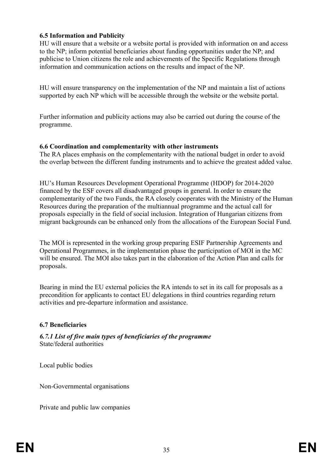#### <span id="page-40-0"></span>**6.5 Information and Publicity**

HU will ensure that a website or a website portal is provided with information on and access to the NP; inform potential beneficiaries about funding opportunities under the NP; and publicise to Union citizens the role and achievements of the Specific Regulations through information and communication actions on the results and impact of the NP.

HU will ensure transparency on the implementation of the NP and maintain a list of actions supported by each NP which will be accessible through the website or the website portal.

Further information and publicity actions may also be carried out during the course of the programme.

#### <span id="page-40-1"></span>**6.6 Coordination and complementarity with other instruments**

The RA places emphasis on the complementarity with the national budget in order to avoid the overlap between the different funding instruments and to achieve the greatest added value.

HU's Human Resources Development Operational Programme (HDOP) for 2014-2020 financed by the ESF covers all disadvantaged groups in general. In order to ensure the complementarity of the two Funds, the RA closely cooperates with the Ministry of the Human Resources during the preparation of the multiannual programme and the actual call for proposals especially in the field of social inclusion. Integration of Hungarian citizens from migrant backgrounds can be enhanced only from the allocations of the European Social Fund.

The MOI is represented in the working group preparing ESIF Partnership Agreements and Operational Programmes, in the implementation phase the participation of MOI in the MC will be ensured. The MOI also takes part in the elaboration of the Action Plan and calls for proposals.

Bearing in mind the EU external policies the RA intends to set in its call for proposals as a precondition for applicants to contact EU delegations in third countries regarding return activities and pre-departure information and assistance.

#### <span id="page-40-2"></span>**6.7 Beneficiaries**

<span id="page-40-3"></span>*6.7.1 List of five main types of beneficiaries of the programme* State/federal authorities

Local public bodies

Non-Governmental organisations

Private and public law companies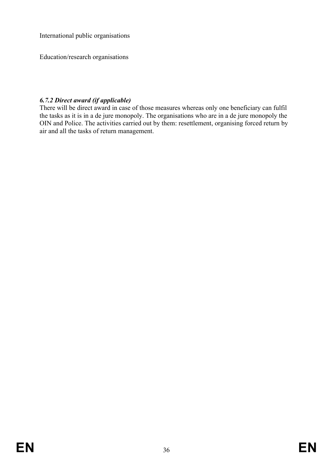International public organisations

Education/research organisations

### <span id="page-41-0"></span>*6.7.2 Direct award (if applicable)*

There will be direct award in case of those measures whereas only one beneficiary can fulfil the tasks as it is in a de jure monopoly. The organisations who are in a de jure monopoly the OIN and Police. The activities carried out by them: resettlement, organising forced return by air and all the tasks of return management.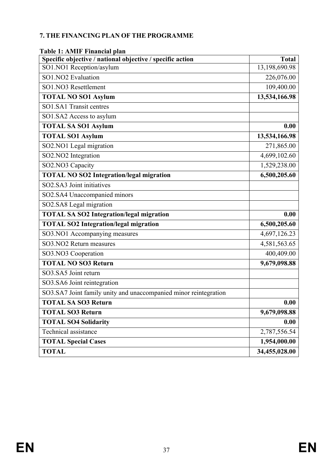#### <span id="page-42-0"></span>**7. THE FINANCING PLAN OF THE PROGRAMME**

| apit 1. Alvilly I mantial plan<br>Specific objective / national objective / specific action | <b>Total</b>  |
|---------------------------------------------------------------------------------------------|---------------|
| SO1.NO1 Reception/asylum                                                                    | 13,198,690.98 |
| SO1.NO2 Evaluation                                                                          | 226,076.00    |
| SO1.NO3 Resettlement                                                                        | 109,400.00    |
| <b>TOTAL NO SO1 Asylum</b>                                                                  | 13,534,166.98 |
| SO1.SA1 Transit centres                                                                     |               |
| SO1.SA2 Access to asylum                                                                    |               |
| <b>TOTAL SA SO1 Asylum</b>                                                                  | 0.00          |
| <b>TOTAL SO1 Asylum</b>                                                                     | 13,534,166.98 |
| SO2.NO1 Legal migration                                                                     | 271,865.00    |
| SO2.NO2 Integration                                                                         | 4,699,102.60  |
| SO2.NO3 Capacity                                                                            | 1,529,238.00  |
| <b>TOTAL NO SO2 Integration/legal migration</b>                                             | 6,500,205.60  |
| SO2.SA3 Joint initiatives                                                                   |               |
| SO2.SA4 Unaccompanied minors                                                                |               |
| SO2.SA8 Legal migration                                                                     |               |
| <b>TOTAL SA SO2 Integration/legal migration</b>                                             | 0.00          |
| <b>TOTAL SO2 Integration/legal migration</b>                                                | 6,500,205.60  |
| SO3.NO1 Accompanying measures                                                               | 4,697,126.23  |
| SO3.NO2 Return measures                                                                     | 4,581,563.65  |
| SO3.NO3 Cooperation                                                                         | 400,409.00    |
| <b>TOTAL NO SO3 Return</b>                                                                  | 9,679,098.88  |
| SO3.SA5 Joint return                                                                        |               |
| SO3.SA6 Joint reintegration                                                                 |               |
| SO3.SA7 Joint family unity and unaccompanied minor reintegration                            |               |
| <b>TOTAL SA SO3 Return</b>                                                                  | 0.00          |
| <b>TOTAL SO3 Return</b>                                                                     | 9,679,098.88  |
| <b>TOTAL SO4 Solidarity</b>                                                                 | 0.00          |
| Technical assistance                                                                        | 2,787,556.54  |
| <b>TOTAL Special Cases</b>                                                                  | 1,954,000.00  |
| <b>TOTAL</b>                                                                                | 34,455,028.00 |

#### <span id="page-42-1"></span>**Table 1: AMIF Financial plan**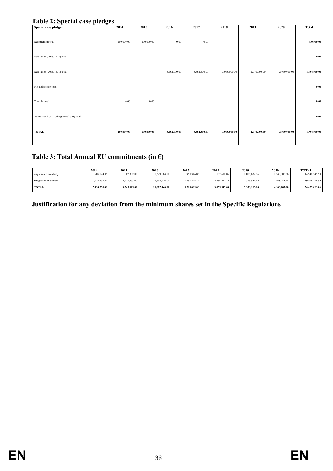#### <span id="page-43-0"></span>**Table 2: Special case pledges**

| <b>Special case pledges</b>            | 2014       | 2015       | 2016         | 2017         | 2018            | 2019            | 2020            | <b>Total</b> |
|----------------------------------------|------------|------------|--------------|--------------|-----------------|-----------------|-----------------|--------------|
|                                        |            |            |              |              |                 |                 |                 |              |
| Resettlement total                     | 200,000.00 | 200,000.00 | 0.00         | 0.00         |                 |                 |                 | 400,000.00   |
|                                        |            |            |              |              |                 |                 |                 |              |
| Relocation (2015/1523) total           |            |            |              |              |                 |                 |                 | 0.00         |
|                                        |            |            |              |              |                 |                 |                 |              |
| Relocation (2015/1601) total           |            |            | 3,882,000.00 | 3,882,000.00 | $-2,070,000.00$ | $-2,070,000.00$ | $-2,070,000.00$ | 1,554,000.00 |
|                                        |            |            |              |              |                 |                 |                 |              |
| MS Relocation total                    |            |            |              |              |                 |                 |                 | 0.00         |
|                                        |            |            |              |              |                 |                 |                 |              |
| Transfer total                         | 0.00       | 0.00       |              |              |                 |                 |                 | 0.00         |
|                                        |            |            |              |              |                 |                 |                 |              |
| Admission from Turkey(2016/1754) total |            |            |              |              |                 |                 |                 | 0.00         |
|                                        |            |            |              |              |                 |                 |                 |              |
| <b>TOTAL</b>                           | 200,000.00 | 200,000.00 | 3,882,000.00 | 3,882,000.00 | $-2,070,000.00$ | $-2,070,000.00$ | $-2,070,000.00$ | 1,954,000.00 |
|                                        |            |            |              |              |                 |                 |                 |              |
|                                        |            |            |              |              |                 |                 |                 |              |

#### <span id="page-43-1"></span>**Table 3: Total Annual EU commitments (in €)**

|                        | 2014         | 2015         | 2016          | 2017         | 2018         | 2019         | 2020         | <b>TOTAL</b>  |
|------------------------|--------------|--------------|---------------|--------------|--------------|--------------|--------------|---------------|
| Asylum and solidarity  | 907,124.06   | 1,017,372.00 | 8,629,884.00  | 958,346.86   | 1,167,680.86 | 1,027,632.86 | .240,705.86  | 14,948,746.50 |
| Integration and return | 2,227,633.94 | 2,227,633.00 | 2,397,276.00  | 4.751.745.14 | 2,688,262.14 | 2,345,550.14 | 2,868,181.14 | 19,506,281.50 |
| <b>TOTAL</b>           | 3.134.758.00 | 3.245.005.00 | 11.027.160.00 | 5.710.092.00 | 3,855,943.00 | 3.373.183.00 | 4.108.887.00 | 34,455,028.00 |

#### <span id="page-43-2"></span>**Justification for any deviation from the minimum shares set in the Specific Regulations**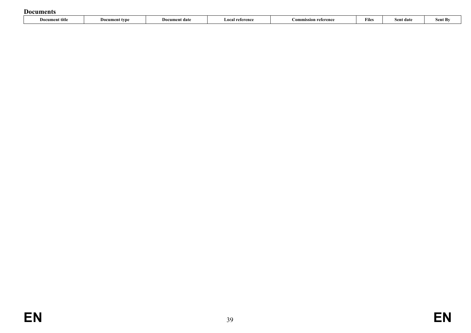#### **Documents**

<span id="page-44-0"></span>

| $\sim$<br>Sent By<br>Document title<br>Document date<br>reference<br>reference) ا<br>:ommission<br>-Doc<br>Sent date<br>nument type<br>. .oc <sup>.</sup><br>File<br>. | _ _ _ _ _ _ _ _ _ _ _ _ |  |  |  |  |
|------------------------------------------------------------------------------------------------------------------------------------------------------------------------|-------------------------|--|--|--|--|
|                                                                                                                                                                        |                         |  |  |  |  |